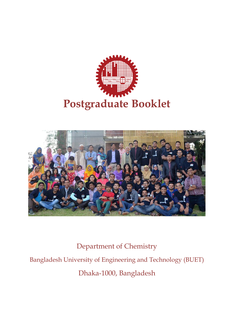



Department of Chemistry Bangladesh University of Engineering and Technology (BUET) Dhaka-1000, Bangladesh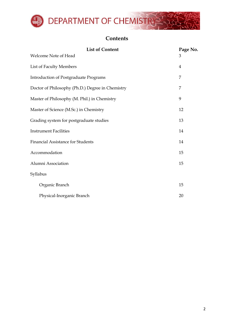

# **Contents**

| <b>List of Content</b>                           | Page No. |  |
|--------------------------------------------------|----------|--|
| Welcome Note of Head                             | 3        |  |
| List of Faculty Members                          | 4        |  |
| <b>Introduction of Postgraduate Programs</b>     | 7        |  |
| Doctor of Philosophy (Ph.D.) Degree in Chemistry | 7        |  |
| Master of Philosophy (M. Phil.) in Chemistry     | 9        |  |
| Master of Science (M.Sc.) in Chemistry           | 12       |  |
| Grading system for postgraduate studies          | 13       |  |
| <b>Instrument Facilities</b>                     | 14       |  |
| Financial Assistance for Students                | 14       |  |
| Accommodation                                    | 15       |  |
| Alumni Association                               | 15       |  |
| Syllabus                                         |          |  |
| Organic Branch                                   | 15       |  |
| Physical-Inorganic Branch                        | 20       |  |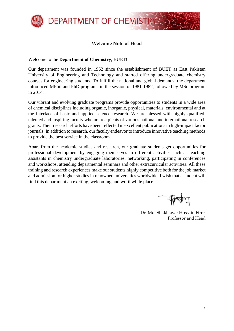

### **Welcome Note of Head**

Welcome to the **Department of Chemistry**, BUET!

Our department was founded in 1962 since the establishment of BUET as East Pakistan University of Engineering and Technology and started offering undergraduate chemistry courses for engineering students. To fulfill the national and global demands, the department introduced MPhil and PhD programs in the session of 1981-1982, followed by MSc program in 2014.

Our vibrant and evolving graduate programs provide opportunities to students in a wide area of chemical disciplines including organic, inorganic, physical, materials, environmental and at the interface of basic and applied science research. We are blessed with highly qualified, talented and inspiring faculty who are recipients of various national and international research grants. Their research efforts have been reflected in excellent publications in high-impact factor journals. In addition to research, our faculty endeavor to introduce innovative teaching methods to provide the best service in the classroom.

Apart from the academic studies and research, our graduate students get opportunities for professional development by engaging themselves in different activities such as teaching assistants in chemistry undergraduate laboratories, networking, participating in conferences and workshops, attending departmental seminars and other extracurricular activities. All these training and research experiences make our students highly competitive both for the job market and admission for higher studies in renowned universities worldwide. I wish that a student will find this department an exciting, welcoming and worthwhile place.

- Captom MT

Dr. Md. Shakhawat Hossain Firoz Professor and Head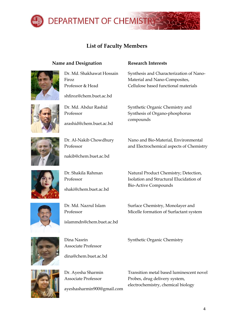

# **List of Faculty Members**

### **Name and Designation Research Interests**



Dr. Md. Shakhawat Hossain Firoz Professor & Head

[shfiroz@chem.buet.ac.bd](mailto:shfiroz@chem.buet.ac.bd)



Professor

Dr. Md. Abdur Rashid

[arashid@chem.buet.ac.bd](mailto:arashid@chem.buet.ac.bd)



Dr. Al-Nakib Chowdhury Professor

[nakib@chem.buet.ac.bd](mailto:nakib@chem.buet.ac.bd)

Dr. Shakila Rahman Professor

[shaki@chem.buet.ac.bd](mailto:shaki@chem.buet.ac.bd)



Dr. Md. Nazrul Islam Professor

islammdn@chem.buet.ac.bd



Dina Nasrin Associate Professor

[dina@chem.buet.ac.bd](mailto:dina@chem.buet.ac.bd)



Dr. Ayesha Sharmin Associate Professor

[ayeshasharmin900@gmail.com](mailto:ayeshasharmin900@gmail.com)

Synthesis and Characterization of Nano-Material and Nano-Composites, Cellulose based functional materials

Synthetic Organic Chemistry and Synthesis of Organo-phosphorus compounds

Nano and Bio-Material, Environmental and Electrochemical aspects of Chemistry

Natural Product Chemistry; Detection, Isolation and Structural Elucidation of Bio-Active Compounds

Surface Chemistry, Monolayer and Micelle formation of Surfactant system

Synthetic Organic Chemistry

Transition metal based luminescent novel Probes, drug delivery system, electrochemistry, chemical biology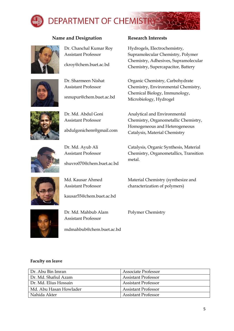

## **Name and Designation Research Interests**



Dr. Chanchal Kumar Roy Assistant Professor

ckroy@chem.buet.ac.bd



Dr. Sharmeen Nishat Assistant Professor

snnupur@chem.buet.ac.bd



Dr. Md. Abdul Goni Assistant Professor

abdulgonichem@gmail.com



Dr. Md. Ayub Ali Assistant Professor

Md. Kausar Ahmed Assistant Professor

[shuvro070@chem.buet.ac.bd](mailto:shuvro070@chem.buet.ac.bd)

Hydrogels, Electrochemistry, Supramolecular Chemistry, Polymer Chemistry, Adhesives, Supramolecular Chemistry, Supercapacitor, Battery

Organic Chemistry, Carbohydrate Chemistry, Environmental Chemistry, Chemical Biology, Immunology, Microbiology, Hydrogel

Analytical and Environmental Chemistry, Organometallic Chemistry, Homogeneous and Heterogeneous Catalysis, Material Chemistry

Catalysis, Organic Synthesis, Material Chemistry, Organometallics, Transition metal.

Material Chemistry (synthesize and characterization of polymers)



Dr. Md. Mahbub Alam Assistant Professor

[kausar55@chem.buet.ac.bd](mailto:kausar55@chem.buet.ac.bd)

mdmahbub@chem.buet.ac.bd

Polymer Chemistry

#### **Faculty on leave**

| Dr. Abu Bin Imran      | <b>Associate Professor</b> |
|------------------------|----------------------------|
| Dr. Md. Shafiul Azam   | <b>Assistant Professor</b> |
| Dr. Md. Elius Hossain  | <b>Assistant Professor</b> |
| Md. Abu Hasan Howlader | <b>Assistant Professor</b> |
| Nahida Akter           | Assistant Professor        |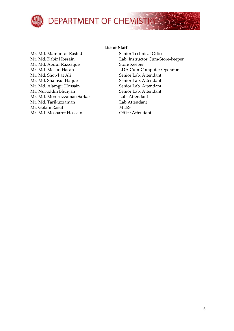

Mr. Md. Mamun-or Rashid Senior Technical Officer Mr. Md. Abdur Razzaque Store Keeper Mr. Md. Showkat Ali Senior Lab. Attendant Mr. Md. Shamsul Haque Senior Lab. Attendant Mr. Md. Alamgir Hossain Senior Lab. Attendant Mr. Nuruddin Bhuiyan Senior Lab. Attendant Mr. Md. Moniruzzaman Sarkar Lab. Attendant Mr. Md. Tarikuzzaman Lab Attendant Mr. Golam Rasul MISS Mr. Md. Mosharof Hossain Office Attendant

### **List of Staffs**

Mr. Md. Kabir Hossain Lab. Instructor Cum-Store-keeper Mr. Md. Masud Hasan LDA Cum-Computer Operator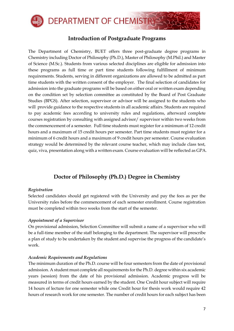

# **Introduction of Postgraduate Programs**

The Department of Chemistry, BUET offers three post-graduate degree programs in Chemistry including Doctor of Philosophy (Ph.D.), Master of Philosophy (M.Phil.) and Master of Science (M.Sc.). Students from various selected disciplines are eligible for admission into these programs as full time or part time students following fulfillment of minimum requirements. Students, serving in different organizations are allowed to be admitted as part time students with the written consent of the employer. The final selection of candidates for admission into the graduate programs will be based on either oral or written exam depending on the condition set by selection committee as constituted by the Board of Post Graduate Studies (BPGS). After selection, supervisor or advisor will be assigned to the students who will provide guidance to the respective students in all academic affairs. Students are required to pay academic fees according to university rules and regulations, afterward complete courses registration by consulting with assigned advisor/ supervisor within two weeks from the commencement of a semester. Full time students must register for a minimum of 12 credit hours and a maximum of 15 credit hours per semester. Part time students must register for a minimum of 6 credit hours and a maximum of 9 credit hours per semester. Course evaluation strategy would be determined by the relevant course teacher, which may include class test, quiz, viva, presentation along with a written exam. Course evaluation will be reflected as GPA.

# **Doctor of Philosophy (Ph.D.) Degree in Chemistry**

### *Registration*

Selected candidates should get registered with the University and pay the fees as per the University rules before the commencement of each semester enrollment. Course registration must be completed within two weeks from the start of the semester.

### *Appointment of a Supervisor*

On provisional admission, Selection Committee will submit a name of a supervisor who will be a full-time member of the staff belonging to the department. The supervisor will prescribe a plan of study to be undertaken by the student and supervise the progress of the candidate's work.

#### *Academic Requirements and Regulations*

The minimum duration of the Ph.D. course will be four semesters from the date of provisional admission. A student must complete all requirements for the Ph.D. degree within six academic years (session) from the date of his provisional admission. Academic progress will be measured in terms of credit hours earned by the student. One Credit hour subject will require 14 hours of lecture for one semester while one Credit hour for thesis work would require 42 hours of research work for one semester. The number of credit hours for each subject has been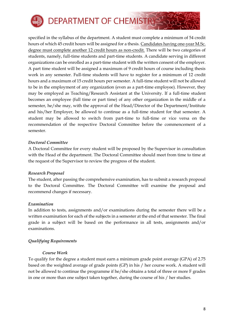

specified in the syllabus of the department. A student must complete a minimum of 54 credit hours of which 45 credit hours will be assigned for a thesis. Candidates having one-year M.Sc. degree must complete another 12 credit hours as non-credit. There will be two categories of students, namely, full-time students and part-time students. A candidate serving in different organizations can be enrolled as a part-time student with the written consent of the employer. A part time student will be assigned a maximum of 9 credit hours of course including thesis work in any semester. Full-time students will have to register for a minimum of 12 credit hours and a maximum of 15 credit hours per semester. A full-time student will not be allowed to be in the employment of any organization (even as a part-time employee). However, they may be employed as Teaching/Research Assistant at the University. If a full-time student becomes an employee (full time or part time) of any other organization in the middle of a semester, he/she may, with the approval of the Head/Director of the Department/Institute and his/her Employer, be allowed to continue as a full-time student for that semester. A student may be allowed to switch from part-time to full-time or vice versa on the recommendation of the respective Doctoral Committee before the commencement of a semester.

#### *Doctoral Committee*

A Doctoral Committee for every student will be proposed by the Supervisor in consultation with the Head of the department. The Doctoral Committee should meet from time to time at the request of the Supervisor to review the progress of the student.

### *Research Proposal*

The student, after passing the comprehensive examination, has to submit a research proposal to the Doctoral Committee. The Doctoral Committee will examine the proposal and recommend changes if necessary.

#### *Examination*

In addition to tests, assignments and/or examinations during the semester there will be a written examination for each of the subjects in a semester at the end of that semester. The final grade in a subject will be based on the performance in all tests, assignments and/or examinations.

### *Qualifying Requirements*

#### *Course Work*

To qualify for the degree a student must earn a minimum grade point average (GPA) of 2.75 based on the weighted average of grade points (GP) in his / her course work. A student will not be allowed to continue the programme if he/she obtains a total of three or more F grades in one or more than one subject taken together, during the course of his / her studies.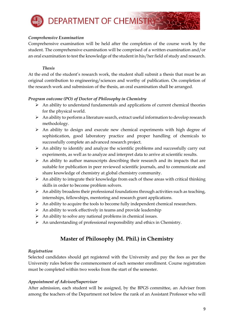

### *Comprehensive Examination*

Comprehensive examination will be held after the completion of the course work by the student. The comprehensive examination will be comprised of a written examination and/or an oral examination to test the knowledge of the student in his/her field of study and research.

#### *Thesis*

At the end of the student's research work, the student shall submit a thesis that must be an original contribution to engineering/sciences and worthy of publication. On completion of the research work and submission of the thesis, an oral examination shall be arranged.

### *Program outcome (PO) of Doctor of Philosophy in Chemistry*

- ➢ An ability to understand fundamentals and applications of current chemical theories for the physical world.
- ➢ An ability to perform a literature search, extract useful information to develop research methodology.
- ➢ An ability to design and execute new chemical experiments with high degree of sophistication, good laboratory practice and proper handling of chemicals to successfully complete an advanced research project.
- $\triangleright$  An ability to identify and analyze the scientific problems and successfully carry out experiments, as well as to analyze and interpret data to arrive at scientific results.
- $\triangleright$  An ability to author manuscripts describing their research and its impacts that are suitable for publication in peer reviewed scientific journals, and to communicate and share knowledge of chemistry at global chemistry community.
- $\triangleright$  An ability to integrate their knowledge from each of these areas with critical thinking skills in order to become problem solvers.
- $\triangleright$  An ability broadens their professional foundations through activities such as teaching, internships, fellowships, mentoring and research grant applications.
- ➢ An ability to acquire the tools to become fully independent chemical researchers.
- $\triangleright$  An ability to work effectively in teams and provide leadership
- $\triangleright$  An ability to solve any national problems in chemical issues.
- ➢ An understanding of professional responsibility and ethics in Chemistry.

# **Master of Philosophy (M. Phil.) in Chemistry**

### *Registration*

Selected candidates should get registered with the University and pay the fees as per the University rules before the commencement of each semester enrollment. Course registration must be completed within two weeks from the start of the semester.

### *Appointment of Advisor/Supervisor*

After admission, each student will be assigned, by the BPGS committee, an Adviser from among the teachers of the Department not below the rank of an Assistant Professor who will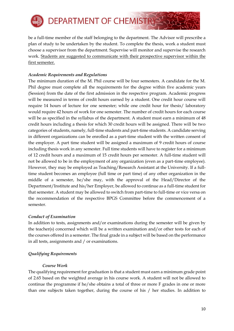

be a full-time member of the staff belonging to the department. The Advisor will prescribe a plan of study to be undertaken by the student. To complete the thesis, work a student must choose a supervisor from the department. Supervise will monitor and supervise the research work. Students are suggested to communicate with their prospective supervisor within the first semester.

### *Academic Requirements and Regulations*

The minimum duration of the M. Phil course will be four semesters. A candidate for the M. Phil degree must complete all the requirements for the degree within five academic years (Session) from the date of the first admission in the respective program. Academic progress will be measured in terms of credit hours earned by a student. One credit hour course will require 14 hours of lecture for one semester; while one credit hour for thesis/ laboratory would require 42 hours of work for one semester. The number of credit hours for each course will be as specified in the syllabus of the department. A student must earn a minimum of 48 credit hours including a thesis for which 30 credit hours will be assigned. There will be two categories of students, namely, full-time students and part-time students. A candidate serving in different organizations can be enrolled as a part-time student with the written consent of the employer. A part time student will be assigned a maximum of 9 credit hours of course including thesis work in any semester. Full time students will have to register for a minimum of 12 credit hours and a maximum of 15 credit hours per semester. A full-time student will not be allowed to be in the employment of any organization (even as a part-time employee). However, they may be employed as Teaching/Research Assistant at the University. If a fulltime student becomes an employee (full time or part time) of any other organization in the middle of a semester, he/she may, with the approval of the Head/Director of the Department/Institute and his/her Employer, be allowed to continue as a full-time student for that semester. A student may be allowed to switch from part-time to full-time or vice versa on the recommendation of the respective BPGS Committee before the commencement of a semester.

### *Conduct of Examination*

In addition to tests, assignments and/or examinations during the semester will be given by the teacher(s) concerned which will be a written examination and/or other tests for each of the courses offered in a semester. The final grade in a subject will be based on the performance in all tests, assignments and / or examinations.

### *Qualifying Requirements*

### *Course Work*

The qualifying requirement for graduation is that a student must earn a minimum grade point of 2.65 based on the weighted average in his course work. A student will not be allowed to continue the programme if he/she obtains a total of three or more F grades in one or more than one subjects taken together, during the course of his / her studies. In addition to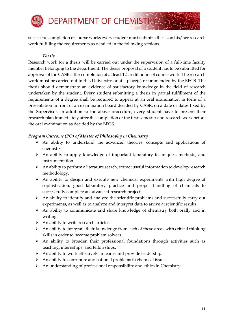

successful completion of course works every student must submit a thesis on his/her research work fulfilling the requirements as detailed in the following sections.

### *Thesis*

Research work for a thesis will be carried out under the supervision of a full-time faculty member belonging to the department. The thesis proposal of a student has to be submitted for approval of the CASR, after completion of at least 12 credit hours of course work. The research work must be carried out in this University or at a place(s) recommended by the BPGS. The thesis should demonstrate an evidence of satisfactory knowledge in the field of research undertaken by the student. Every student submitting a thesis in partial fulfillment of the requirements of a degree shall be required to appear at an oral examination in form of a presentation in front of an examination board decided by CASR, on a date or dates fixed by the Supervisor. In addition to the above procedure, every student have to present their research plan immediately after the completion of the first semester and research work before the oral examination as decided by the BPGS.

### *Program Outcome (PO) of Master of Philosophy in Chemistry*

- ➢ An ability to understand the advanced theories, concepts and applications of chemistry.
- ➢ An ability to apply knowledge of important laboratory techniques, methods, and instrumentation.
- $\triangleright$  An ability to perform a literature search, extract useful information to develop research methodology.
- $\triangleright$  An ability to design and execute new chemical experiments with high degree of sophistication, good laboratory practice and proper handling of chemicals to successfully complete an advanced research project.
- $\triangleright$  An ability to identify and analyze the scientific problems and successfully carry out experiments, as well as to analyze and interpret data to arrive at scientific results.
- ➢ An ability to communicate and share knowledge of chemistry both orally and in writing.
- $\triangleright$  An ability to write research articles.
- ➢ An ability to integrate their knowledge from each of these areas with critical thinking skills in order to become problem solvers.
- ➢ An ability to broaden their professional foundations through activities such as teaching, internships, and fellowships.
- $\triangleright$  An ability to work effectively in teams and provide leadership.
- $\triangleright$  An ability to contribute any national problems in chemical issues.
- ➢ An understanding of professional responsibility and ethics in Chemistry.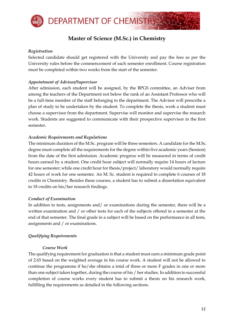

# **Master of Science (M.Sc.) in Chemistry**

#### *Registration*

Selected candidate should get registered with the University and pay the fees as per the University rules before the commencement of each semester enrollment. Course registration must be completed within two weeks from the start of the semester.

### *Appointment of Advisor/Supervisor*

After admission, each student will be assigned, by the BPGS committee, an Adviser from among the teachers of the Department not below the rank of an Assistant Professor who will be a full-time member of the staff belonging to the department. The Advisor will prescribe a plan of study to be undertaken by the student. To complete the thesis, work a student must choose a supervisor from the department. Supervise will monitor and supervise the research work. Students are suggested to communicate with their prospective supervisor in the first semester.

#### *Academic Requirements and Regulations*

The minimum duration of the M.Sc. program will be three semesters. A candidate for the M.Sc. degree must complete all the requirements for the degree within five academic years (Session) from the date of the first admission. Academic progress will be measured in terms of credit hours earned by a student. One credit hour subject will normally require 14 hours of lecture for one semester; while one credit hour for thesis/project/ laboratory would normally require 42 hours of work for one semester. An M. Sc. student is required to complete 6 courses of 18 credits in Chemistry. Besides these courses, a student has to submit a dissertation equivalent to 18 credits on his/her research findings.

#### *Conduct of Examination*

In addition to tests, assignments and/ or examinations during the semester, there will be a written examination and / or other tests for each of the subjects offered in a semester at the end of that semester. The final grade in a subject will be based on the performance in all tests, assignments and / or examinations.

### *Qualifying Requirements*

#### *Course Work*

The qualifying requirement for graduation is that a student must earn a minimum grade point of 2.65 based on the weighted average in his course work. A student will not be allowed to continue the programme if he/she obtains a total of three or more F grades in one or more than one subject taken together, during the course of his / her studies. In addition to successful completion of course works every student has to submit a thesis on his research work, fulfilling the requirements as detailed in the following sections.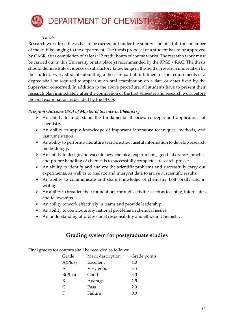

#### *Thesis*

Research work for a thesis has to be carried out under the supervision of a full-time member of the staff belonging to the department. The thesis proposal of a student has to be approved by CASR, after completion of at least 12 credit hours of course works. The research work must be carried out in this University or at a place(s) recommended by the BPGS / RAC. The thesis should demonstrate evidence of satisfactory knowledge in the field of research undertaken by the student. Every student submitting a thesis in partial fulfillment of the requirements of a degree shall be required to appear at an oral examination on a date or dates fixed by the Supervisor concerned. In addition to the above procedure, all students have to present their research plan immediately after the completion of the first semester and research work before the oral examination as decided by the BPGS.

#### *Program Outcome (PO) of Master of Science in Chemistry*

- ➢ An ability to understand the fundamental theories, concepts and applications of chemistry.
- ➢ An ability to apply knowledge of important laboratory techniques, methods, and instrumentation.
- $\triangleright$  An ability to perform a literature search, extract useful information to develop research methodology.
- $\triangleright$  An ability to design and execute new chemical experiments, good laboratory practice and proper handling of chemicals to successfully complete a research project.
- $\triangleright$  An ability to identify and analyze the scientific problems and successfully carry out experiments, as well as to analyze and interpret data to arrive at scientific results.
- ➢ An ability to communicate and share knowledge of chemistry both orally and in writing.
- $\triangleright$  An ability to broaden their foundations through activities such as teaching, internships, and fellowships.
- ➢ An ability to work effectively in teams and provide leadership.
- $\triangleright$  An ability to contribute any national problems in chemical issues.
- ➢ An understanding of professional responsibility and ethics in Chemistry.

# **Grading system for postgraduate studies**

Final grades for courses shall be recorded as follows:

| Grade                 | Merit description | Grade points |
|-----------------------|-------------------|--------------|
| A(Plus)               | Excellent         | 4.0          |
| A                     | Very good         | 3.5          |
| B(Plus)               | Good              | 3.0          |
| В                     | Average           | 2.5          |
| $\mathcal{C}_{\cdot}$ | Pass              | 2.0          |
| F                     | Failure           | 0.0          |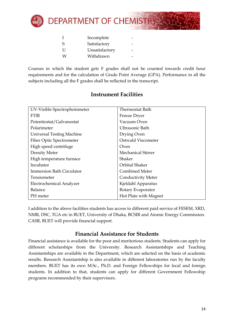

|   | Incomplete     |  |
|---|----------------|--|
| S | Satisfactory   |  |
| U | Unsatisfactory |  |
| W | Withdrawn      |  |

Courses in which the student gets F grades shall not be counted towards credit hour requirements and for the calculation of Grade Point Average (GPA). Performance in all the subjects including all the F grades shall be reflected in the transcript.

| UV-Visible Spectrophotometer     | Thermostat Bath           |
|----------------------------------|---------------------------|
| <b>FTIR</b>                      | Freeze Dryer              |
| Potentiostat/Galvanostat         | Vacuum Oven               |
| Polarimeter                      | Ultrasonic Bath           |
| <b>Universal Testing Machine</b> | Drying Oven               |
| Fiber Optic Spectrometer         | Ostwald Viscometer        |
| High speed centrifuge            | Oven                      |
| Density Meter                    | <b>Mechanical Stirrer</b> |
| High temperature furnace         | Shaker                    |
| Incubator                        | Orbital Shaker            |
| <b>Immersion Bath Circulator</b> | <b>Combined Meter</b>     |
| Tensiometer                      | Conductivity Meter        |
| Electrochemical Analyzer         | Kjeldahl Apparatus        |
| Balance                          | Rotary Evaporator         |
| PH meter                         | Hot Plate with Magnet     |

# **Instrument Facilities**

I addition to the above facilities students has access to different paid service of FESEM, XRD, NMR, DSC, TGA etc in BUET, University of Dhaka, BCSIR and Atomic Energy Commission. CASR, BUET will provide financial support.

# **Financial Assistance for Students**

Financial assistance is available for the poor and meritorious students. Students can apply for different scholarships from the University. Research Assistantships and Teaching Assistantships are available in the Department, which are selected on the basis of academic results. Research Assistantship is also available in different laboratories run by the faculty members. BUET has its own M.Sc., Ph.D. and Foreign Fellowships for local and foreign students. In addition to that, students can apply for different Government Fellowship programs recommended by their supervisors.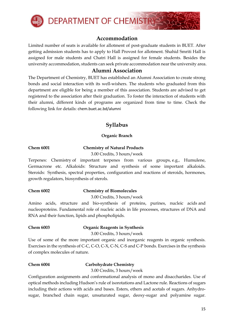

# **Accommodation**

Limited number of seats is available for allotment of post-graduate students in BUET. After getting admission students has to apply to Hall Provost for allotment. Shahid Smriti Hall is assigned for male students and Chatri Hall is assigned for female students. Besides the university accommodation, students can seek private accommodation near the university area.

# **Alumni Association**

The Department of Chemistry, BUET has established an Alumni Association to create strong bonds and social interaction with its well-wishers. The students who graduated from this department are eligible for being a member of this association. Students are advised to get registered to the association after their graduation. To foster the interaction of students with their alumni, different kinds of programs are organized from time to time. Check the following link for details: chem.buet.ac.bd/alumni

# **Syllabus**

### **Organic Branch**

### **Chem 6001 Chemistry of Natural Products**

3.00 Credits, 3 hours/week

Terpenes: Chemistry of important terpenes from various groups, e.g., Humulene, Germacrone etc. Alkaloids: Structure and synthesis of some important alkaloids. Steroids: Synthesis, spectral properties, configuration and reactions of steroids, hormones, growth regulators, biosynthesis of sterols.

### **Chem 6002 Chemistry of Biomolecules**

3.00 Credits, 3 hours/week

Amino acids, structure and bio-synthesis of proteins, purines, nucleic acids and nucleoproteins. Fundamental role of nucleic acids in life processes, structures of DNA and RNA and their function, lipids and phospholipids.

### **Chem 6003 Organic Reagents in Synthesis**

3.00 Credits, 3 hours/week

Use of some of the more important organic and inorganic reagents in organic synthesis. Exercises in the synthesis of C-C, C-O, C-X, C-N, C-S and C-P bonds. Exercises in the synthesis of complex molecules of nature.

### **Chem 6004 Carbohydrate Chemistry**

3.00 Credits, 3 hours/week

Configuration assignments and conformational analysis of mono and disaccharides. Use of optical methods including Hudson's rule of isorotations and Lactone rule. Reactions of sugars including their actions with acids and bases. Esters, ethers and acetals of sugars. Anhydrosugar, branched chain sugar, unsaturated sugar, deoxy-sugar and polyamine sugar.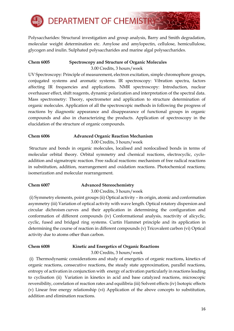

Polysaccharides: Structural investigation and group analysis, Barry and Smith degradation, molecular weight determination etc. Amylose and amylopectin, cellulose, hemicullulose, glycogen and inulin. Sulphated polysaccharides and marine algal polysaccharides.

## **Chem 6005 Spectroscopy and Structure of Organic Molecules**

3.00 Credits, 3 hours/week

UV Spectroscopy: Principle of measurement, electron excitation, simple chromophore groups, conjugated systems and aromatic systems. IR spectroscopy: Vibration spectra, factors affecting IR frequencies and applications. NMR spectroscopy: Introduction, nuclear overhauser effect, shift reagents, dynamic polarization and interpretation of the spectral data. Mass spectrometry: Theory, spectrometer and application to structure determination of organic molecules. Application of all the spectroscopic methods in following the progress of reactions by diagnostic appearance and disappearance of functional groups in organic compounds and also in characterizing the products. Application of spectroscopy in the elucidation of the structure of organic compounds.

### **Chem 6006 Advanced Organic Reaction Mechanism**

3.00 Credits, 3 hours/week

Structure and bonds in organic molecules, localised and nonlocalised bonds in terms of molecular orbital theory. Orbital symmetry and chemical reactions, electrocyclic, cycloaddition and sigmatropic reaction. Free radical reactions: mechanism of free radical reactions in substitution, addition, rearrangement and oxidation reactions. Photochemical reactions; isomerization and molecular rearrangement.

### **Chem 6007 Advanced Stereochemistry**

3.00 Credits, 3 hours/week

(i) Symmetry elements, point groups (ii) Optical activity – its origin, atomic and conformation asymmetry (iii) Variation of optical activity with wave length. Optical rotatory dispersion and circular dichroism curves and their application in determining the configuration and conformation of different compounds (iv) Conformational analysis, reactivity of alicyclic, cyclic, fused and bridged ring systems. Curtin Hammet principle and its application in determining the course of reaction in different compounds (v) Tricovalent carbon (vi) Optical activity due to atoms other than carbon.

### **Chem 6008 Kinetic and Energetics of Organic Reactions**

3.00 Credits, 3 hours/week

(i) Thermodynamic considerations and study of energetics of organic reactions, kinetics of organic reactions, consecutive reactions, the steady state approximation, parallel reactions, entropy of activation in conjunction with energy of activation particularly in reactions leading to cyclisation (ii) Variation in kinetics in acid and base catalyzed reactions, microscopic reversibility, correlation of reaction rates and equilibria (iii) Solvent effects (iv) Isotopic effects (v) Linear free energy relationship (vi) Application of the above concepts to substitution, addition and elimination reactions.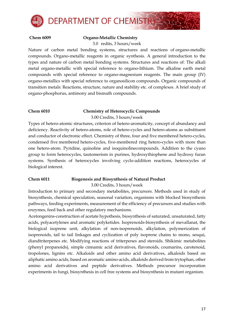

#### **Chem 6009 Organo-Metallic Chemistry**

3.0 redits, 3 hours/week

Nature of carbon metal bonding systems, structures and reactions of organo-metallic compounds. Organo-metallic reagents in organic synthesis. A general introduction to the types and nature of carbon metal bonding systems. Structures and reactions of: The alkali metal organo-metallic with special reference to organo-lithium. The alkaline earth metal compounds with special reference to organo-magnesium reagents. The main group (IV) organo-metallics with special reference to organosilicon compounds. Organic compounds of transition metals: Reactions, structure, nature and stability etc. of complexes. A brief study of organo-phosphorus, antimony and bismuth compounds.

#### **Chem 6010 Chemistry of Heterocyclic Compounds**

3.00 Credits, 3 hours/week

Types of hetero-atomic structures, criterion of hetero-aromaticity, concept of abundancy and deficiency. Reactivity of hetero-atoms, role of hetero-cycles and hetero-atoms as substituent and conductor of electronic effect. Chemistry of three, four and five membered hetero-cycles, condensed five membered hetero-cycles, five-membered ring hetero-cycles with more than one hetero-atom. Pyridine, quinoline and isoquinolinecompounds. Addition to the cyano group to form heterocycles, tautomerism in purines, hydroxythiophene and hydroxy furan systems. Synthesis of heterocycles involving cyclo-addition reactions, heterocycles of biological interest.

# **Chem 6011 Biogenesis and Biosynthesis of Natural Product**

3.00 Credits, 3 hours/week

Introduction to primary and secondary metabolites, precursors. Methods used in study of biosynthesis, chemical speculation, seasonal variation, organisms with blocked biosynthesis pathways, feeding experiments, measurement of the efficiency of precursors and studies with enzymes, feed back and other regulatory mechanisms.

Acetongenins-construction of acetate hypothesis, biosynthesis of saturated, unsaturated, fatty acids, polyacetylenes and aromatic polyketides. Isoprenoids-biosynthesis of mevallanat, the biological isoprene unit, alkylation of non-isoprenoids, alkylation, polymerization of isoprenoids, tail to tail linkages and cyclization of poly isoprene chains to mono, sesqui, diandtriterpenes etc. Modifying reactions of triterpenes and steroids. Shikimic metabolites (phenyl propanoids), simple cinnamic acid derivatives, flavonoids, coumarins, carotenoid, tropolones, lignins etc. Alkaloids and other amino acid derivatives, alkaloids based on aliphatic amino acids, based on aromatic amino-acids, alkaloids derived from trytophan, other amino acid derivatives and peptide derivatives. Methods precursor incorporation experiments in fungi, biosynthesis in cell free systems and biosynthesis in mutant organism.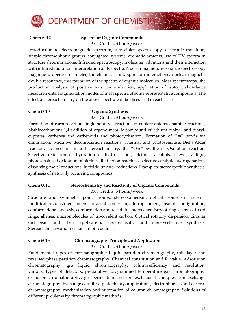

#### **Chem 6012 Spectra of Organic Compounds** 3.00 Credits, 3 hours/week

Introduction to electromagnetic spectrum, ultraviolet spectroscopy, electronic transition, simple chromophoric groups, conjugated systems, aromatic systems, use of UV spectra in structure determinations. Infra-red spectroscopy, molecular vibrations and their interaction with infrared radiation, interpretation of IR spectra. Nuclear magnetic resonance spectroscopy, magnetic properties of nuclei, the chemical shift, spin-spin interactions, nuclear magnetic double resonance, interpretation of the spectra of organic molecules. Mass spectroscopy, the production analysis of positive ions, molecular ion, application of isotopic abundance measurements, fragmentation modes of mass spectra of some representative compounds. The effect of stereochemistry on the above spectra will be discussed in each case.

#### **Chem 6013 Organic Synthesis**

3.00 Credits, 3 hours/week

Formation of carbon-carbon single bond via reactions of enolate anions, enamine reactions, bisthiocarbonions 1,4-addition of organo-metallic compound of lithium diakyl- and diarylcuprates, carbenes and carbenoids and photocyclisation. Formation of C=C bonds via elimination, oxidative decomposition reactions. Thermal and photosensitisedDiel's Alder reaction, its mechanism and stereochemistry, the "One" synthesis. Oxidation reaction: Selective oxidation of hydration of hydrocarbons, olefines, alcohols, Baeyer Villigre, photosensitised oxidation of olefines. Reduction reactions: selective catalytic hydrogenations dissolving metal reductions, hydride-transfer reductions. Examples: stereospecific synthesis, synthesis of naturally occurring compounds.

# **Chem 6014 Stereochemistry and Reactivity of Organic Compounds**

3.00 Credits, 3 hours/week

Structure and symmetry point groups, stereoisomerism, optical isomerism, racemic modification, diastereoisomers, torsional isomerism, allotropisomers, absolute configuration, conformational analysis, conformation and reactivity, stereochemistry of ring systems, fused rings, allenes, macromolecules of tri-covalent carbon. Optical rotatory dispersion, circular dichroism and their application. stereo-specific and stereo-selective synthesis. Stereochemistry and mechanism of reactions.

# **Chem 6015 Chromatography Principle and Application**

3.00 Credits, 3 hours/week

Fundamental types of chromatography: Liquid partition chromatography, thin layer and reversed phase partition chromatography. Chemical constitution and  $R_f$  value. Adsorption chromatography, gas liquid chromatography, column efficiency and resolution, various types of detectors, preparative, programmed temperature gas chromatography, exclusion chromatography, gel permeation and ion exclusion techniques, ion exchange chromatography. Exchange equilibria plate theory, applications, electrophoresis and electrochromatography, mechanisation and automation of column chromatography. Solutions of different problems by chromatographic methods.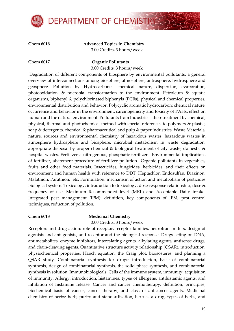

**Chem 6016 Advanced Topics in Chemistry** 3.00 Credits, 3 hours/week

#### **Chem 6017 Organic Pollutants**

3.00 Credits, 3 hours/week

Degradation of different components of biosphere by environmental pollutants; a general overview of interconnections among biosphere, atmosphere, antrosphere, hydrosphere and geosphere. Pollution by Hydrocarbons: chemical nature, dispersion, evaporation, photooxidation & microbial transformation to the environment. Petroleum & aquatic organisms, biphenyl & polychlorinated biphenyls (PCBs), physical and chemical properties, environmental distribution and behavior. Polycyclic aromatic hydrocarbon; chemical nature, occurrence and behavior in the environment, carcinogenicity and toxicity of PAHs, effect on human and the natural environment. Pollutants from Industries: their treatment by chemical, physical, thermal and photochemical method with special references to polymers & plastic, soap  $\&$  detergents, chemical  $\&$  pharmaceutical and pulp  $\&$  paper industries. Waste Materials; nature, sources and environmental chemistry of hazardous wastes, hazardous wastes in atmosphere hydrosphere and biosphere, microbial metabolism in waste degradation, appropriate disposal by proper chemical & biological treatment of city waste, domestic  $\&$ hospital wastes. Fertilizers: nitrogenous, phosphatic fertilizers. Environmental implications of fertilizer, abatement procedure of fertilizer pollution. Organic pollutants in vegetables, fruits and other food materials. Insecticides, fungicides, herbicides, and their effects on environment and human health with reference to DDT, Heptachlor, Endosulfan, Diazinon, Malathion, Parathion, etc. Formulation, mechanism of action and metalbolism of pesticides biological system. Toxicology; introduction to toxicology, dose-response relationship, dose & frequency of use. Maximum Recommended level (MRL) and Acceptable Daily intake. Integrated pest management (IPM): definition, key components of IPM, pest control techniques, reduction of pollution.

### **Chem 6018 Medicinal Chemistry**

3.00 Credits, 3 hours/week

Receptors and drug action: role of receptor, receptor families, neurotransmitters, design of agonists and antagonists, and receptor and the biological response. Drugs acting on DNA; antimetabolites, enzyme inhibitors, intercalating agents, alkylating agents, antisense drugs, and chain-cleaving agents. Quantitative structure activity relationship (QSAR); introduction, physiochemical properties, Hanch equation, the Craig plot, bioisosteres, and planning a QSAR study. Combinatorial synthesis for drugs: introduction, basic of combinatorial synthesis, design of combinatorial synthesis, the solid phase synthesis, and combinatorial synthesis in solution. Immunobiologicals: Cells of the immune system, immunity, acquisition of immunity. Allergy: introduction, histamines, types of allergens, antihistamic agents, and inhibition of histamine release. Cancer and cancer chemotherapy: definition, principles, biochemical basis of cancer, cancer therapy, and class of anticancer agents. Medicinal chemistry of herbs: herb, purity and standardization, herb as a drug, types of herbs, and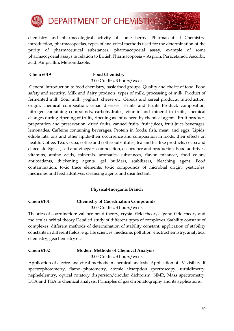

chemistry and pharmacological activity of some herbs. Pharmaceutical Chemistry: introduction, pharmacopoeias, types of analytical methods used for the determination of the purity of pharmaceutical substances, pharmacopoeial assay, example of some pharmacopoeial assays in relation to British Pharmacopoeia – Aspirin, Paracetamol, Ascorbic acid, Ampicillin, Metronidazole.

#### **Chem 6019 Food Chemistry**

3.00 Credits, 3 hours/week

General introduction to food chemistry, basic food groups. Quality and choice of food, Food safety and security. Milk and dairy products: types of milk, processing of milk. Product of fermented milk; Sour milk, yoghurt, cheese etc. Cereals and cereal products; introduction, origin, chemical composition, celiac diseases. Fruits and Fruits Product: composition, nitrogen containing compounds, carbohydrates, vitamin and mineral in fruits, chemical changes during ripening of fruits, ripening as influenced by chemical agents. Fruit products preparation and preservation; dried fruits, canned fruits, fruit juices, fruit juice beverages, lemonades. Caffeine containing beverages. Protein in foods; fish, meat, and eggs. Lipids; edible fats, oils and other lipids-their occurrence and composition in foods, their effects on health. Coffee, Tea, Cocoa; coffee and coffee substitutes, tea and tea like products, cocoa and chocolate. Spices, salt and vinegar: composition, occurrence and production. Food additives: vitamins, amino acids, minerals, aromatics substances, flavor enhancer, food colors, antioxidants, thickening agents, gel builders, stabilizers, bleaching agent. Food contamination: toxic trace elements, toxic compounds of microbial origin, pesticides, medicines and feed additives, cleansing agents and disinfectant.

### **Physical-Inorganic Branch**

# **Chem 6101 Chemistry of Coordination Compounds**

3.00 Credits, 3 hours/week

Theories of coordination: valence bond theory, crystal field theory, ligand field theory and molecular orbital theory Detailed study of different types of complexes. Stability constant of complexes: different methods of determination of stability constant, application of stability constants in different fields, e.g., life sciences, medicine, pollution, electrochemistry, analytical chemistry, geochemistry etc.

# **Chem 6102 Modern Methods of Chemical Analysis**

3.00 Credits, 3 hours/week

Application of electro-analytical methods in chemical analysis. Application ofUV-visible, IR spectrophotometry, flame photometry, atomic absorption spectroscopy, turbidimetry, nephelelemtry, optical rotatory dispersion/circular dichroism, NMR, Mass spectrometry, DTA and TGA in chemical analysis. Principles of gas chromatography and its applications.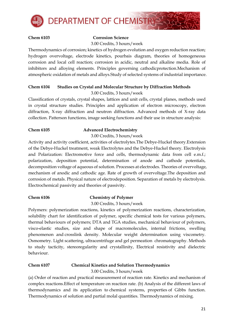

#### **Chem 6103 Corrosion Science** 3.00 Credits, 3 hours/week

Thermodynamics of corrosion; kinetics of hydrogen evolution and oxygen reduction reaction; hydrogen overvoltage, electrode kinetics, pourbais diagram, theories of homogeneous corrosion and local cell reaction; corrosion in acidic, neutral and alkaline media. Role of inhibitors and alloying elements. Principles governing cathodicprotection.Mechanism of atmospheric oxidation of metals and alloys.Study of selected systems of industrial importance.

### **Chem 6104 Studies on Crystal and Molecular Structure by Diffraction Methods** 3.00 Credits, 3 hours/week

Classification of crystals, crystal shapes, lattices and unit cells, crystal planes, methods used in crystal structure studies. Principles and application of electron microscopy, electron diffraction, X-ray diffraction and neutron diffraction. Advanced methods of X-ray data collection. Patterson functions, image seeking functions and their use in structure analysis:

### **Chem 6105 Advanced Electrochemistry**

3.00 Credits, 3 hours/week

Activity and activity coefficient, activities of electrolytes.The Debye-Huckel theory.Extension of the Debye-Huckel treatment, weak Electrolytes and the Debye-Huckel theory. Electrolysis and Polarization: Electromotive force and cells, thermodynamic data from cell e.m.f.; polarization, deposition potential, determination of anode and cathode potentials, decomposition voltage of aqueous of solution. Processes at electrodes. Theories of overvoltage, mechanism of anodic and cathodic age. Rate of growth of overvoltage.The deposition and corrosion of metals. Physical nature of electrodeposition. Separation of metals by electrolysis. Electrochemical passivity and theories of passivity.

# **Chem 6106 Chemistry of Polymer**

3.00 Credits, 3 hours/week

Polymers: polymerization reactions, kinetics of polymerization reactions, characterization, solubility chart for identification of polymer, specific chemical tests for various polymers, thermal behaviours of polymers; DTA and TGA studies, mechanical behaviour of polymers, visco-elastic studies, size and shape of macromolecules, internal frictions, swelling phenomenon and crosslink density. Molecular weight determination using viscometry. Osmometry. Light scattering, ultracentrifuge and gel permeation chromatography. Methods to study tacticity, stereoregularity and crystallinity, Electrical resistivity and dielectric behaviour.

### **Chem 6107 Chemical Kinetics and Solution Thermodynamics** 3.00 Credits, 3 hours/week

(a) Order of reaction and practical measurement of reaction rate. Kinetics and mechanism of complex reactions.Effect of temperature on reaction rate. (b) Analysis of the different laws of thermodynamics and its application to chemical systems, properties of Gibbs function. Thermodynamics of solution and partial molal quantities. Thermodynamics of mixing.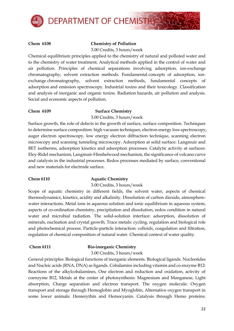

### **Chem 6108 Chemistry of Pollution**

3.00 Credits, 3 hours/week

Chemical equilibrium principles applied to the chemistry of natural and polluted water and to the chemistry of water treatment. Analytical methods applied in the control of water and air pollution. Principles of chemical separations involving adsorption, ion-exchange chromatography, solvent extraction methods. Fundamental concepts of adsorption, ionexchange chromatography, solvent extraction methods, fundamental concepts of adsorption and emission spectroscopy. Industrial toxins and their toxicology. Classification and analysis of inorganic and organic toxins. Radiation hazards, air pollution and analysis. Social and economic aspects of pollution.

#### **Chem 6109 Surface Chemistry**

3.00 Credits, 3 hours/week

Surface growth, the role of defects in the growth of surface, surface composition. Techniques to determine surface composition: high vacuum techniques, electron energy loss spectroscopy, auger electron spectroscopy, low energy electron diffraction technique, scanning electron microscopy and scanning tunneling microscopy. Adsorption at solid surface: Langmuir and BET isotherms, adsorption kinetics and adsorption processes. Catalytic activity at surfaces: Eley-Ridel mechanism, Langmuir-Hinshelwood mechanism, the significance of volcano curve and catalysis in the industrial processes. Redox processes mediated by surface, conventional and new materials for electrode surface.

# **Chem 6110 Aquatic Chemistry**

3.00 Credits, 3 hours/week

Scope of aquatic chemistry in different fields, the solvent water, aspects of chemical thermodynamics, kinetics, acidity and alkalinity. Dissolution of carbon dioxide, atmospherewater interactions. Metal ions in aqueous solution and ionic equilibrium in aqueous system, aspects of co-ordination chemistry, precipitation and dissolution, redox condition in natural water and microbial radiation. The solid-solution interface: adsorption, dissolution of minerals, nucleation and crystal growth. Trace metals: cycling, regulation and biological role and photochemical process. Particle-particle interaction: colloids, coagulation and filtration, regulation of chemical composition of natural water. Chemical context of water quality.

### **Chem 6111 Bio-inorganic Chemistry**

3.00 Credits, 3 hours/week

General principles: Biological functions of inorganic elements. Biological ligands. Nucleotides and Nucleic acids (RNA, DNA) as ligands. Cobalamins including vitamin and co enzyme B12: Reactions of the alkylcobalamines, One electron and reduction and oxidation, activity of coenzyme B12, Metals at the center of photosynthesis: Magnesium and Manganese, Light absorption, Charge separation and electron transport. The oxygen molecule: Oxygen transport and storage through Hemoglobin and Myoglobin, Alternative oxygen transport in some lower animals: Hemerythin and Hemocyanin. Catalysis through Hemo proteins: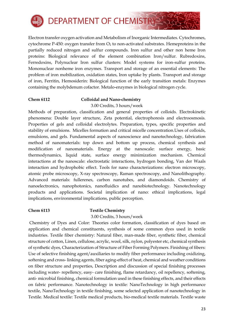

Electron transfer oxygen activation and Metabolism of Inorganic Intermediates. Cytochromes, cytochrome P-450: oxygen transfer from  $O_2$  to non-activated substrates. Hemeproteins in the partially reduced nitrogen and sulfur compounds. Iron sulfur and other non heme Iron proteins: Biological relevance of the element combination Iron/sulfur. Rubredoxins, Ferredoxins, Polynuclear Iron sulfur clusters: Model systems for iron-sulfur proteins. Mononuclear nonheme iron enzymes. Transport and storage of an essential elements: The problem of iron mobilization, oxidation states, Iron uptake by plants. Transport and storage of iron, Ferritin, Hemosiderin: Biological function of the early transition metals: Enzymes containing the molybdenum cofactor. Metalo-enzymes in biological nitrogen cycle.

#### **Chem 6112 Colloidal and Nano-chemistry**

3.00 Credits, 3 hours/week

Methods of preparation, classification and general properties of colloids. Electrokinetic phenomena: Double layer structure, Zeta potential, electrophoresis and electroosmosis. Properties of gels and colloidal electrolytes. Preparation, types, specific properties and stability of emulsions. Micelles formation and critical micelle concentration.Uses of colloids, emulsions, and gels. Fundamental aspects of nanoscience and nanotechnology, fabrication method of nanomaterials: top down and bottom up process, chemical synthesis and modification of nanomaterials. Energy at the nanoscale: surface energy, basic thermodynamics, liquid state, surface energy minimization mechanism. Chemical interactions at the nanoscale: electrostatic interactions, hydrogen bonding, Van der Waals interaction and hydrophobic effect. Tools for nano characterizations: electron microscopy, atomic probe microscopy, X-ray spectroscopy, Raman spectroscopy, and Nanolithography. Advanced materials: fullerenes, carbon nanotubes, and diamondoids. Chemistry of nanoelectronics, nanophotonics, nanofluidics and nanobiotechnology. Nanotechnology products and applications. Societal implication of nano: ethical implications, legal implications, environmental implications, public perception.

#### **Chem 6113 Textile Chemistry**

#### 3.00 Credits, 3 hours/week

Chemistry of Dyes and Color: Theories color formation, classification of dyes based on application and chemical constituents, synthesis of some common dyes used in textile industries. Textile fiber chemistry: Natural fiber, man-made fiber, synthetic fiber, chemical structure of cotton, Linen, cellulose, acrylic, wool, silk, nylon, polyester etc, chemical synthesis of synthetic dyes, Characterization of Structure of Fiber Forming Polymers. Finishing of fibers: Use of selective finishing agent/auxiliaries to modify fiber performance including oxidizing, softening and cross- linking agents, fiber aging-effect of heat, chemical and weather conditions on fiber structure and properties, Description and discussion of special finishing processes including water- repellency, easy- care finishing, flame retardancy, oil repellency, softening, anti- microbial finishing, chemical formulation used in these finishing effects, and their effects on fabric performance. Nanotechnology in textile: NanoTechnology in high performance textile, NanoTechnology in textile finishing, some selected application of nanotechnology in Textile. Medical textile: Textile medical products, bio-medical textile materials. Textile waste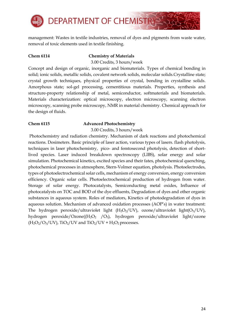

management: Wastes in textile industries, removal of dyes and pigments from waste water, removal of toxic elements used in textile finishing.

#### **Chem 6114 Chemistry of Materials**

3.00 Credits, 3 hours/week

Concept and design of organic, inorganic and biomaterials. Types of chemical bonding in solid; ionic solids, metallic solids, covalent network solids, molecular solids.Crystalline state; crystal growth techniques, physical properties of crystal, bonding in crystalline solids. Amorphous state; sol-gel processing, cementitious materials. Properties, synthesis and structure-property relationship of metal, semiconductor, softmaterials and biomaterials. Materials characterization: optical microscopy, electron microscopy, scanning electron microscopy, scanning probe microscopy, NMR in material chemistry. Chemical approach for the design of fluids.

### **Chem 6115 Advanced Photochemistry**

3.00 Credits, 3 hours/week

Photochemistry and radiation chemistry. Mechanism of dark reactions and photochemical reactions. Dosimeters. Basic principle of laser action, various types of lasers. flash photolysis, techniques in laser photochemistry, pico- and femtosecond photolysis, detection of shortlived species. Laser induced breakdown spectroscopy (LIBS), solar energy and solar simulation. Photochemical kinetics, excited species and their fates, photochemical quenching, photochemical processes in atmosphere, Stern-Volmer equation, photolysis. Photoelectrodes, types of photoelectrochemical solar cells, mechanism of energy conversion, energy conversion efficiency. Organic solar cells. Photoelectrochemical production of hydrogen from water. Storage of solar energy. Photocatalysts, Semiconducting metal oxides, Influence of photocatalysts on TOC and BOD of the dye effluents, Degradation of dyes and other organic substances in aqueous system. Roles of mediators, Kinetics of photodegradation of dyes in aqueous solution. Mechanism of advanced oxidation processes (AOP's) in water treatment: The hydrogen peroxide/ultraviolet light  $(H_2O_2/UV)$ , ozone/ultraviolet light $(O_3/UV)$ , hydrogen peroxide/Ozone( $(H_2O_2$  /O<sub>3</sub>), hydrogen peroxide/ultraviolet light/ozone  $(H_2O_2/O_3/UV)$ , TiO<sub>2</sub>/UV and TiO<sub>2</sub>/UV + H<sub>2</sub>O<sub>2</sub> processes.